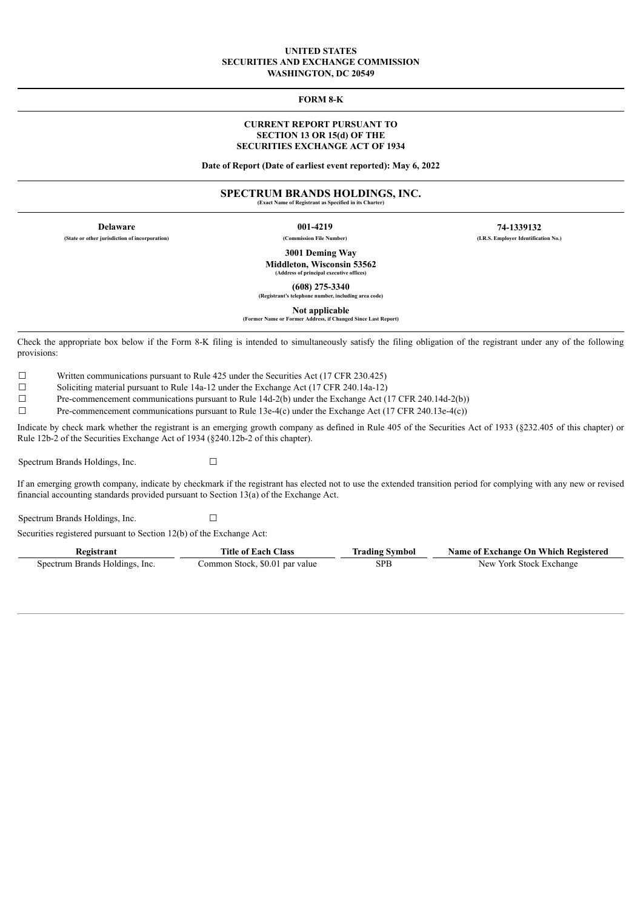#### **UNITED STATES SECURITIES AND EXCHANGE COMMISSION WASHINGTON, DC 20549**

**FORM 8-K**

### **CURRENT REPORT PURSUANT TO SECTION 13 OR 15(d) OF THE SECURITIES EXCHANGE ACT OF 1934**

**Date of Report (Date of earliest event reported): May 6, 2022**

## **SPECTRUM BRANDS HOLDINGS, INC.**

**(Exact Name of Registrant as Specified in its Charter)**

**Delaware 001-4219 74-1339132 (State or other jurisdiction of incorporation) (Commission File Number) (I.R.S. Employer Identification No.)**

> **3001 Deming Way Middleton, Wisconsin 53562**

**(Address of principal executive offices)**

**(608) 275-3340 (Registrant's telephone number, including area code)**

**Not applicable**

**(Former Name or Former Address, if Changed Since Last Report)**

Check the appropriate box below if the Form 8-K filing is intended to simultaneously satisfy the filing obligation of the registrant under any of the following provisions:

☐ Written communications pursuant to Rule 425 under the Securities Act (17 CFR 230.425)

☐ Soliciting material pursuant to Rule 14a-12 under the Exchange Act (17 CFR 240.14a-12)

☐ Pre-commencement communications pursuant to Rule 14d-2(b) under the Exchange Act (17 CFR 240.14d-2(b))

☐ Pre-commencement communications pursuant to Rule 13e-4(c) under the Exchange Act (17 CFR 240.13e-4(c))

Indicate by check mark whether the registrant is an emerging growth company as defined in Rule 405 of the Securities Act of 1933 (§232.405 of this chapter) or Rule 12b-2 of the Securities Exchange Act of 1934 (§240.12b-2 of this chapter).

Spectrum Brands Holdings, Inc. □

If an emerging growth company, indicate by checkmark if the registrant has elected not to use the extended transition period for complying with any new or revised financial accounting standards provided pursuant to Section 13(a) of the Exchange Act.

Spectrum Brands Holdings, Inc. □

Securities registered pursuant to Section 12(b) of the Exchange Act:

| <b>Registrant</b>              | <b>Title of Each Class</b>     | Trading Symbol | Name of Exchange On Which Registered |
|--------------------------------|--------------------------------|----------------|--------------------------------------|
| Spectrum Brands Holdings, Inc. | Common Stock, \$0.01 par value | SPB            | New York Stock Exchange              |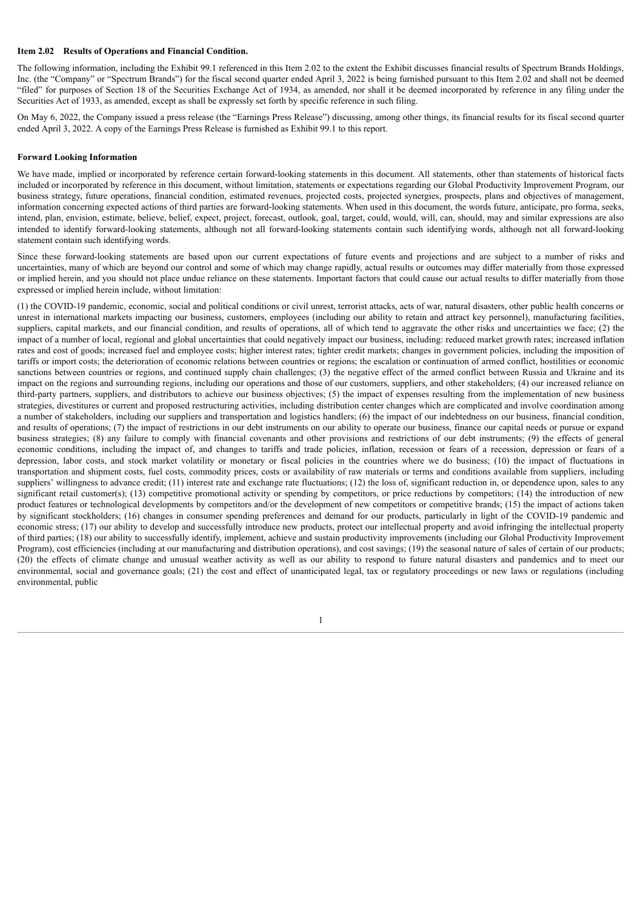### **Item 2.02 Results of Operations and Financial Condition.**

The following information, including the Exhibit 99.1 referenced in this Item 2.02 to the extent the Exhibit discusses financial results of Spectrum Brands Holdings, Inc. (the "Company" or "Spectrum Brands") for the fiscal second quarter ended April 3, 2022 is being furnished pursuant to this Item 2.02 and shall not be deemed "filed" for purposes of Section 18 of the Securities Exchange Act of 1934, as amended, nor shall it be deemed incorporated by reference in any filing under the Securities Act of 1933, as amended, except as shall be expressly set forth by specific reference in such filing.

On May 6, 2022, the Company issued a press release (the "Earnings Press Release") discussing, among other things, its financial results for its fiscal second quarter ended April 3, 2022. A copy of the Earnings Press Release is furnished as Exhibit 99.1 to this report.

#### **Forward Looking Information**

We have made, implied or incorporated by reference certain forward-looking statements in this document. All statements, other than statements of historical facts included or incorporated by reference in this document, without limitation, statements or expectations regarding our Global Productivity Improvement Program, our business strategy, future operations, financial condition, estimated revenues, projected costs, projected synergies, prospects, plans and objectives of management, information concerning expected actions of third parties are forward-looking statements. When used in this document, the words future, anticipate, pro forma, seeks, intend, plan, envision, estimate, believe, belief, expect, project, forecast, outlook, goal, target, could, would, will, can, should, may and similar expressions are also intended to identify forward-looking statements, although not all forward-looking statements contain such identifying words, although not all forward-looking statement contain such identifying words.

Since these forward-looking statements are based upon our current expectations of future events and projections and are subject to a number of risks and uncertainties, many of which are beyond our control and some of which may change rapidly, actual results or outcomes may differ materially from those expressed or implied herein, and you should not place undue reliance on these statements. Important factors that could cause our actual results to differ materially from those expressed or implied herein include, without limitation:

(1) the COVID-19 pandemic, economic, social and political conditions or civil unrest, terrorist attacks, acts of war, natural disasters, other public health concerns or unrest in international markets impacting our business, customers, employees (including our ability to retain and attract key personnel), manufacturing facilities, suppliers, capital markets, and our financial condition, and results of operations, all of which tend to aggravate the other risks and uncertainties we face; (2) the impact of a number of local, regional and global uncertainties that could negatively impact our business, including: reduced market growth rates; increased inflation rates and cost of goods; increased fuel and employee costs; higher interest rates; tighter credit markets; changes in government policies, including the imposition of tariffs or import costs; the deterioration of economic relations between countries or regions; the escalation or continuation of armed conflict, hostilities or economic sanctions between countries or regions, and continued supply chain challenges; (3) the negative effect of the armed conflict between Russia and Ukraine and its impact on the regions and surrounding regions, including our operations and those of our customers, suppliers, and other stakeholders; (4) our increased reliance on third-party partners, suppliers, and distributors to achieve our business objectives; (5) the impact of expenses resulting from the implementation of new business strategies, divestitures or current and proposed restructuring activities, including distribution center changes which are complicated and involve coordination among a number of stakeholders, including our suppliers and transportation and logistics handlers; (6) the impact of our indebtedness on our business, financial condition, and results of operations; (7) the impact of restrictions in our debt instruments on our ability to operate our business, finance our capital needs or pursue or expand business strategies; (8) any failure to comply with financial covenants and other provisions and restrictions of our debt instruments; (9) the effects of general economic conditions, including the impact of, and changes to tariffs and trade policies, inflation, recession or fears of a recession, depression or fears of a depression, labor costs, and stock market volatility or monetary or fiscal policies in the countries where we do business; (10) the impact of fluctuations in transportation and shipment costs, fuel costs, commodity prices, costs or availability of raw materials or terms and conditions available from suppliers, including suppliers' willingness to advance credit; (11) interest rate and exchange rate fluctuations; (12) the loss of, significant reduction in, or dependence upon, sales to any significant retail customer(s); (13) competitive promotional activity or spending by competitors, or price reductions by competitors; (14) the introduction of new product features or technological developments by competitors and/or the development of new competitors or competitive brands; (15) the impact of actions taken by significant stockholders; (16) changes in consumer spending preferences and demand for our products, particularly in light of the COVID-19 pandemic and economic stress; (17) our ability to develop and successfully introduce new products, protect our intellectual property and avoid infringing the intellectual property of third parties; (18) our ability to successfully identify, implement, achieve and sustain productivity improvements (including our Global Productivity Improvement Program), cost efficiencies (including at our manufacturing and distribution operations), and cost savings; (19) the seasonal nature of sales of certain of our products; (20) the effects of climate change and unusual weather activity as well as our ability to respond to future natural disasters and pandemics and to meet our environmental, social and governance goals; (21) the cost and effect of unanticipated legal, tax or regulatory proceedings or new laws or regulations (including environmental, public

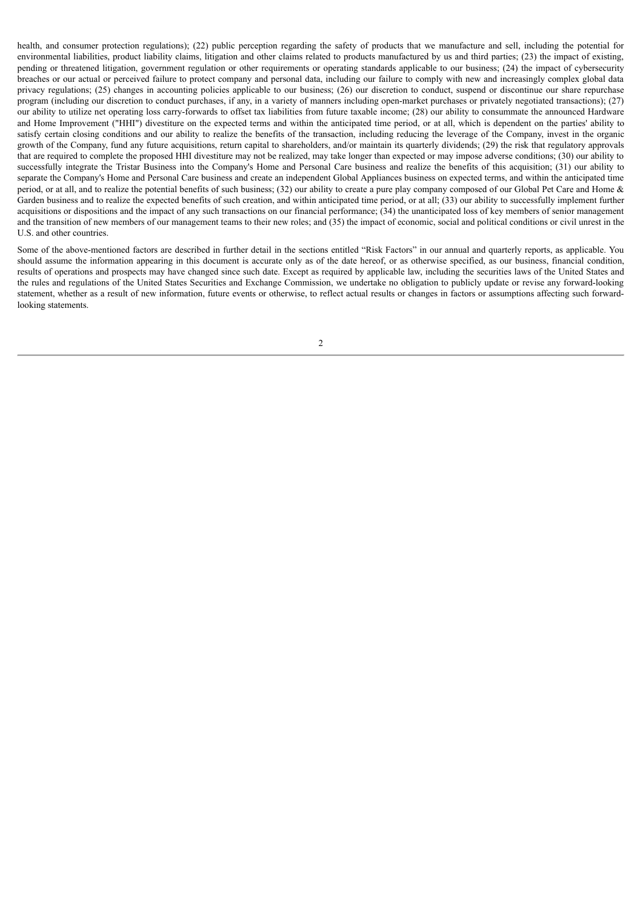health, and consumer protection regulations); (22) public perception regarding the safety of products that we manufacture and sell, including the potential for environmental liabilities, product liability claims, litigation and other claims related to products manufactured by us and third parties; (23) the impact of existing, pending or threatened litigation, government regulation or other requirements or operating standards applicable to our business; (24) the impact of cybersecurity breaches or our actual or perceived failure to protect company and personal data, including our failure to comply with new and increasingly complex global data privacy regulations; (25) changes in accounting policies applicable to our business; (26) our discretion to conduct, suspend or discontinue our share repurchase program (including our discretion to conduct purchases, if any, in a variety of manners including open-market purchases or privately negotiated transactions); (27) our ability to utilize net operating loss carry-forwards to offset tax liabilities from future taxable income; (28) our ability to consummate the announced Hardware and Home Improvement ("HHI") divestiture on the expected terms and within the anticipated time period, or at all, which is dependent on the parties' ability to satisfy certain closing conditions and our ability to realize the benefits of the transaction, including reducing the leverage of the Company, invest in the organic growth of the Company, fund any future acquisitions, return capital to shareholders, and/or maintain its quarterly dividends; (29) the risk that regulatory approvals that are required to complete the proposed HHI divestiture may not be realized, may take longer than expected or may impose adverse conditions; (30) our ability to successfully integrate the Tristar Business into the Company's Home and Personal Care business and realize the benefits of this acquisition; (31) our ability to separate the Company's Home and Personal Care business and create an independent Global Appliances business on expected terms, and within the anticipated time period, or at all, and to realize the potential benefits of such business; (32) our ability to create a pure play company composed of our Global Pet Care and Home & Garden business and to realize the expected benefits of such creation, and within anticipated time period, or at all; (33) our ability to successfully implement further acquisitions or dispositions and the impact of any such transactions on our financial performance; (34) the unanticipated loss of key members of senior management and the transition of new members of our management teams to their new roles; and (35) the impact of economic, social and political conditions or civil unrest in the U.S. and other countries.

Some of the above-mentioned factors are described in further detail in the sections entitled "Risk Factors" in our annual and quarterly reports, as applicable. You should assume the information appearing in this document is accurate only as of the date hereof, or as otherwise specified, as our business, financial condition, results of operations and prospects may have changed since such date. Except as required by applicable law, including the securities laws of the United States and the rules and regulations of the United States Securities and Exchange Commission, we undertake no obligation to publicly update or revise any forward-looking statement, whether as a result of new information, future events or otherwise, to reflect actual results or changes in factors or assumptions affecting such forwardlooking statements.

2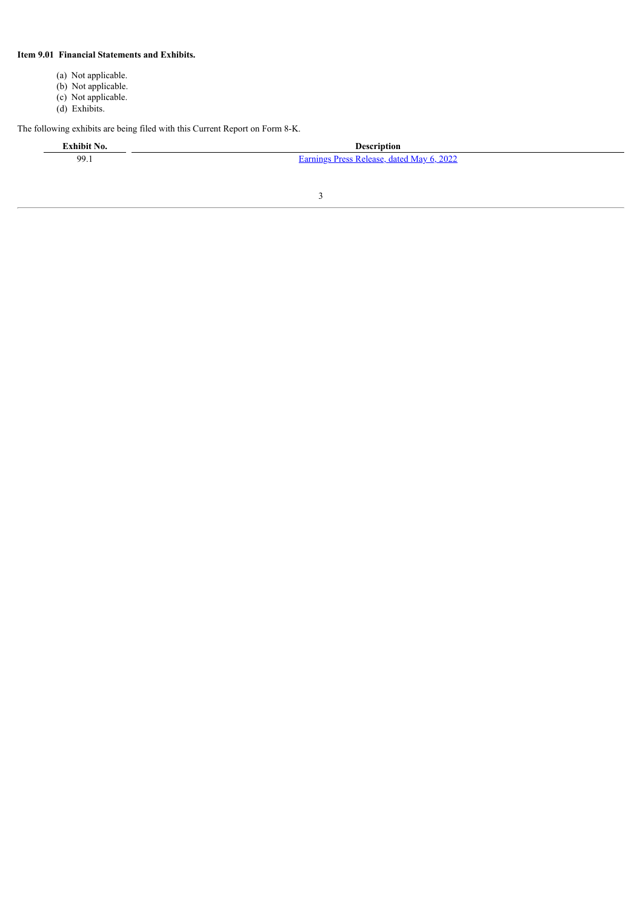## **Item 9.01 Financial Statements and Exhibits.**

- (a) Not applicable.
- (b) Not applicable.
- (c) Not applicable.
- (d) Exhibits.

The following exhibits are being filed with this Current Report on Form 8-K.

**Exhibit No. Description**

99.1 **[Earnings](#page-5-0) Press Release**, dated May 6, 2022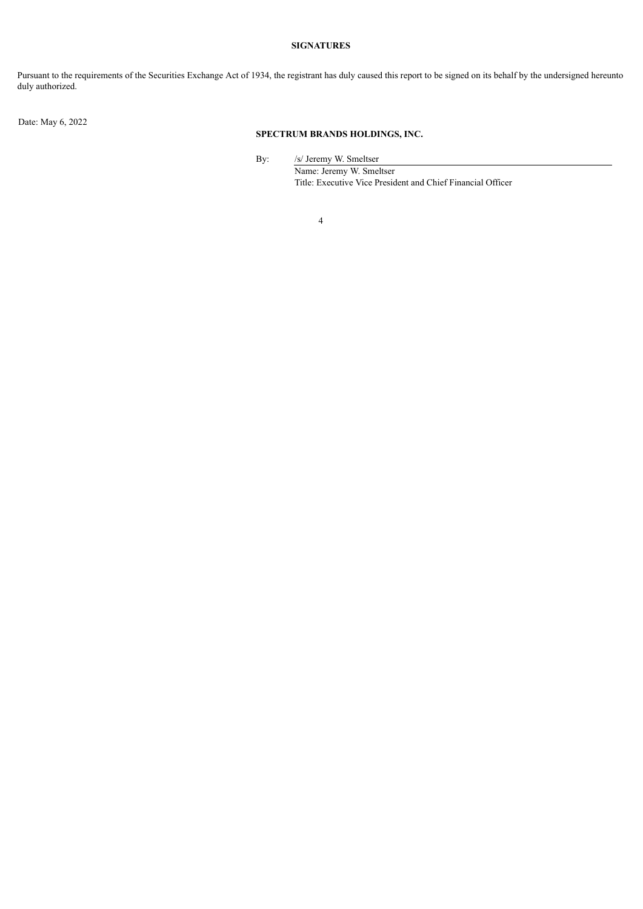## **SIGNATURES**

Pursuant to the requirements of the Securities Exchange Act of 1934, the registrant has duly caused this report to be signed on its behalf by the undersigned hereunto duly authorized.

Date: May 6, 2022

## **SPECTRUM BRANDS HOLDINGS, INC.**

By: /s/ Jeremy W. Smeltser

Name: Jeremy W. Smeltser Title: Executive Vice President and Chief Financial Officer

4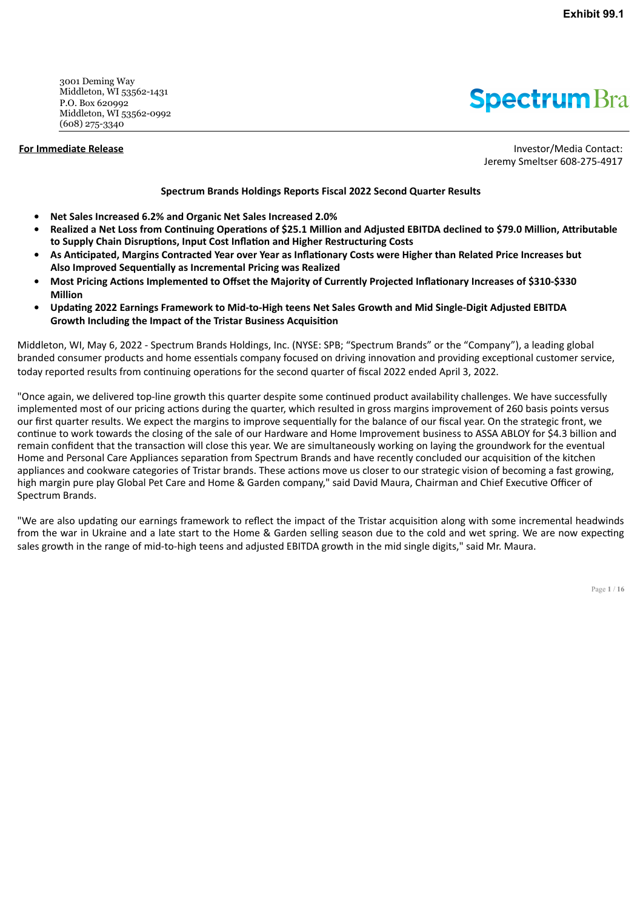<span id="page-5-0"></span>3001 Deming Way Middleton, WI 53562-1431 P.O. Box 620992 Middleton, WI 53562-0992 (608) 275-3340

**Spectrum** Bra

**For Immediate Release Investor/Media Contact:** Jeremy Smeltser 608-275-4917

## **Spectrum Brands Holdings Reports Fiscal 2022 Second Quarter Results**

- **• Net Sales Increased 6.2% and Organic Net Sales Increased 2.0%**
- **• Realized a Net Loss from Continuing Operations of \$25.1 Million and Adjusted EBITDA declined to \$79.0 Million, Attributable to Supply Chain Disruptions, Input Cost Inflation and Higher Restructuring Costs**
- **• As Anticipated, Margins Contracted Year over Year as Inflationary Costs were Higher than Related Price Increases but Also Improved Sequentially as Incremental Pricing was Realized**
- **• Most Pricing Actions Implemented to Offset the Majority of Currently Projected Inflationary Increases of \$310-\$330 Million**
- **• Updating 2022 Earnings Framework to Mid-to-High teens Net Sales Growth and Mid Single-Digit Adjusted EBITDA Growth Including the Impact of the Tristar Business Acquisition**

Middleton, WI, May 6, 2022 - Spectrum Brands Holdings, Inc. (NYSE: SPB; "Spectrum Brands" or the "Company"), a leading global branded consumer products and home essentials company focused on driving innovation and providing exceptional customer service, today reported results from continuing operations for the second quarter of fiscal 2022 ended April 3, 2022.

"Once again, we delivered top-line growth this quarter despite some continued product availability challenges. We have successfully implemented most of our pricing actions during the quarter, which resulted in gross margins improvement of 260 basis points versus our first quarter results. We expect the margins to improve sequentially for the balance of our fiscal year. On the strategic front, we continue to work towards the closing of the sale of our Hardware and Home Improvement business to ASSA ABLOY for \$4.3 billion and remain confident that the transaction will close this year. We are simultaneously working on laying the groundwork for the eventual Home and Personal Care Appliances separation from Spectrum Brands and have recently concluded our acquisition of the kitchen appliances and cookware categories of Tristar brands. These actions move us closer to our strategic vision of becoming a fast growing, high margin pure play Global Pet Care and Home & Garden company," said David Maura, Chairman and Chief Executive Officer of Spectrum Brands.

"We are also updating our earnings framework to reflect the impact of the Tristar acquisition along with some incremental headwinds from the war in Ukraine and a late start to the Home & Garden selling season due to the cold and wet spring. We are now expecting sales growth in the range of mid-to-high teens and adjusted EBITDA growth in the mid single digits," said Mr. Maura.

Page **1** / **16**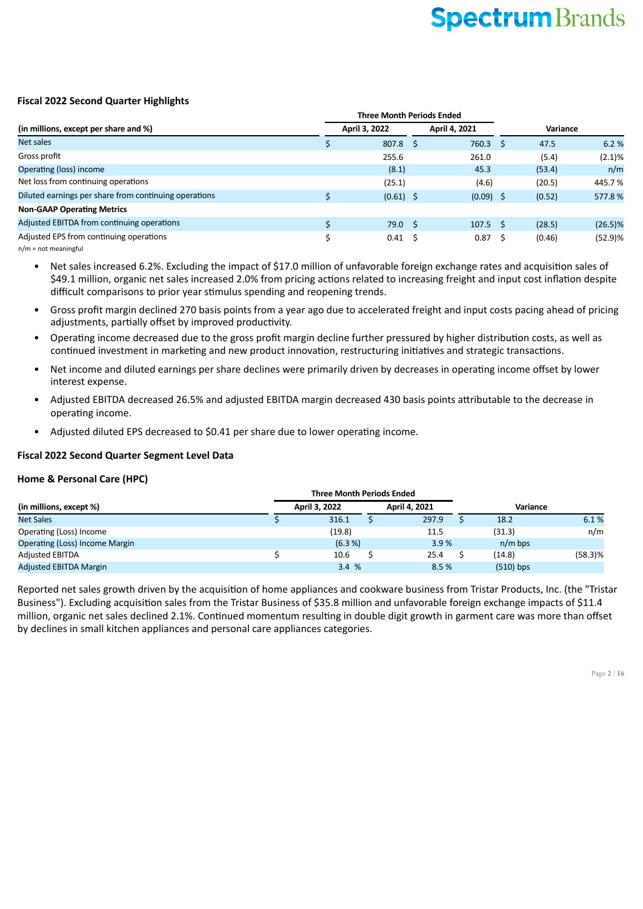## **Fiscal 2022 Second Quarter Highlights**

|                                                       |  | <b>Three Month Periods Ended</b> |  |               |    |          |            |
|-------------------------------------------------------|--|----------------------------------|--|---------------|----|----------|------------|
| (in millions, except per share and %)                 |  | April 3, 2022                    |  | April 4, 2021 |    | Variance |            |
| Net sales                                             |  | $807.8$ \$                       |  | 760.3         |    | 47.5     | 6.2 %      |
| Gross profit                                          |  | 255.6                            |  | 261.0         |    | (5.4)    | (2.1)%     |
| Operating (loss) income                               |  | (8.1)                            |  | 45.3          |    | (53.4)   | n/m        |
| Net loss from continuing operations                   |  | (25.1)                           |  | (4.6)         |    | (20.5)   | 445.7%     |
| Diluted earnings per share from continuing operations |  | $(0.61)$ \$                      |  | $(0.09)$ \$   |    | (0.52)   | 577.8%     |
| <b>Non-GAAP Operating Metrics</b>                     |  |                                  |  |               |    |          |            |
| Adjusted EBITDA from continuing operations            |  | $79.0 \quad $5$                  |  | 107.5         | -S | (28.5)   | $(26.5)\%$ |
| Adjusted EPS from continuing operations               |  | $0.41 \quad$ \$                  |  | 0.87          |    | (0.46)   | $(52.9)$ % |
| $\blacksquare$                                        |  |                                  |  |               |    |          |            |

n/m = not meaningful

Net sales increased 6.2%. Excluding the impact of \$17.0 million of unfavorable foreign exchange rates and acquisition sales of \$49.1 million, organic net sales increased 2.0% from pricing actions related to increasing freight and input cost inflation despite difficult comparisons to prior year stimulus spending and reopening trends.

- Gross profit margin declined 270 basis points from a year ago due to accelerated freight and input costs pacing ahead of pricing adjustments, partially offset by improved productivity.
- Operating income decreased due to the gross profit margin decline further pressured by higher distribution costs, as well as continued investment in marketing and new product innovation, restructuring initiatives and strategic transactions.
- Net income and diluted earnings per share declines were primarily driven by decreases in operating income offset by lower interest expense.
- Adjusted EBITDA decreased 26.5% and adjusted EBITDA margin decreased 430 basis points attributable to the decrease in operating income.
- Adjusted diluted EPS decreased to \$0.41 per share due to lower operating income.

## **Fiscal 2022 Second Quarter Segment Level Data**

## **Home & Personal Care (HPC)**

|                                       | <b>Three Month Periods Ended</b> |               |       |  |             |            |  |
|---------------------------------------|----------------------------------|---------------|-------|--|-------------|------------|--|
| (in millions, except %)               | April 3, 2022                    | April 4, 2021 |       |  | Variance    |            |  |
| <b>Net Sales</b>                      | 316.1                            |               | 297.9 |  | 18.2        | 6.1%       |  |
| Operating (Loss) Income               | (19.8)                           |               | 11.5  |  | (31.3)      | n/m        |  |
| <b>Operating (Loss) Income Margin</b> | (6.3 %)                          |               | 3.9%  |  | $n/m$ bps   |            |  |
| <b>Adjusted EBITDA</b>                | 10.6                             |               | 25.4  |  | (14.8)      | $(58.3)$ % |  |
| <b>Adjusted EBITDA Margin</b>         | 3.4%                             |               | 8.5%  |  | $(510)$ bps |            |  |

Reported net sales growth driven by the acquisition of home appliances and cookware business from Tristar Products, Inc. (the "Tristar Business"). Excluding acquisition sales from the Tristar Business of \$35.8 million and unfavorable foreign exchange impacts of \$11.4 million, organic net sales declined 2.1%. Continued momentum resulting in double digit growth in garment care was more than offset by declines in small kitchen appliances and personal care appliances categories.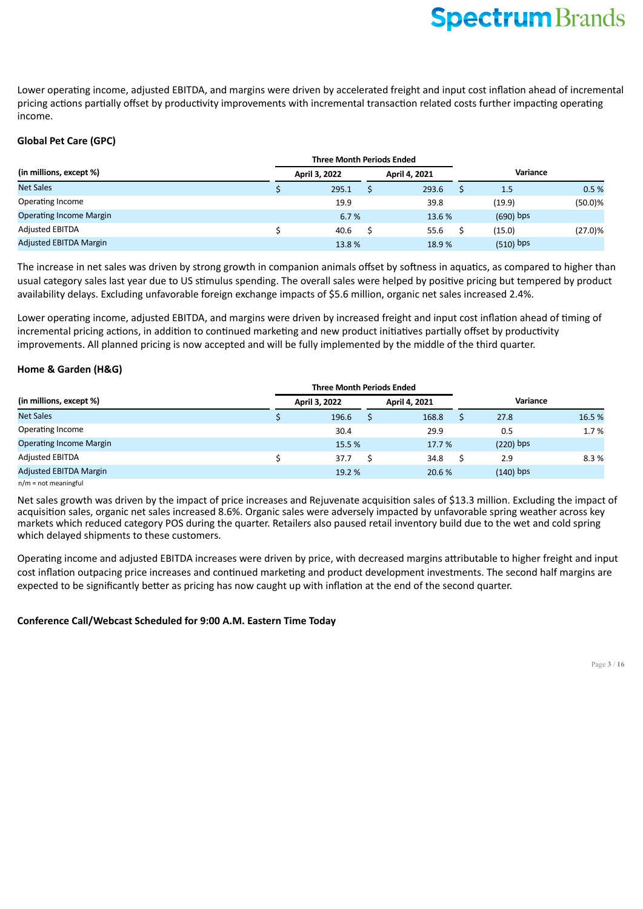Lower operating income, adjusted EBITDA, and margins were driven by accelerated freight and input cost inflation ahead of incremental pricing actions partially offset by productivity improvements with incremental transaction related costs further impacting operating income.

## **Global Pet Care (GPC)**

|                                |  | <b>Three Month Periods Ended</b> |  |               |             |            |
|--------------------------------|--|----------------------------------|--|---------------|-------------|------------|
| (in millions, except %)        |  | April 3, 2022                    |  | April 4, 2021 | Variance    |            |
| <b>Net Sales</b>               |  | 295.1                            |  | 293.6         | 1.5         | 0.5%       |
| Operating Income               |  | 19.9                             |  | 39.8          | (19.9)      | $(50.0)$ % |
| <b>Operating Income Margin</b> |  | 6.7%                             |  | 13.6 %        | $(690)$ bps |            |
| <b>Adjusted EBITDA</b>         |  | 40.6                             |  | 55.6          | (15.0)      | $(27.0)\%$ |
| <b>Adjusted EBITDA Margin</b>  |  | 13.8%                            |  | 18.9%         | $(510)$ bps |            |

The increase in net sales was driven by strong growth in companion animals offset by softness in aquatics, as compared to higher than usual category sales last year due to US stimulus spending. The overall sales were helped by positive pricing but tempered by product availability delays. Excluding unfavorable foreign exchange impacts of \$5.6 million, organic net sales increased 2.4%.

Lower operating income, adjusted EBITDA, and margins were driven by increased freight and input cost inflation ahead of timing of incremental pricing actions, in addition to continued marketing and new product initiatives partially offset by productivity improvements. All planned pricing is now accepted and will be fully implemented by the middle of the third quarter.

## **Home & Garden (H&G)**

|                                | <b>Three Month Periods Ended</b> |               |             |        |
|--------------------------------|----------------------------------|---------------|-------------|--------|
| (in millions, except %)        | April 3, 2022                    | April 4, 2021 | Variance    |        |
| <b>Net Sales</b>               | 196.6                            | 168.8         | 27.8        | 16.5 % |
| Operating Income               | 30.4                             | 29.9          | 0.5         | 1.7 %  |
| <b>Operating Income Margin</b> | 15.5 %                           | 17.7 %        | $(220)$ bps |        |
| <b>Adjusted EBITDA</b>         | 37.7                             | 34.8          | 2.9         | 8.3 %  |
| <b>Adjusted EBITDA Margin</b>  | 19.2 %                           | 20.6 %        | $(140)$ bps |        |

n/m = not meaningful

Net sales growth was driven by the impact of price increases and Rejuvenate acquisition sales of \$13.3 million. Excluding the impact of acquisition sales, organic net sales increased 8.6%. Organic sales were adversely impacted by unfavorable spring weather across key markets which reduced category POS during the quarter. Retailers also paused retail inventory build due to the wet and cold spring which delayed shipments to these customers.

Operating income and adjusted EBITDA increases were driven by price, with decreased margins attributable to higher freight and input cost inflation outpacing price increases and continued marketing and product development investments. The second half margins are expected to be significantly better as pricing has now caught up with inflation at the end of the second quarter.

## **Conference Call/Webcast Scheduled for 9:00 A.M. Eastern Time Today**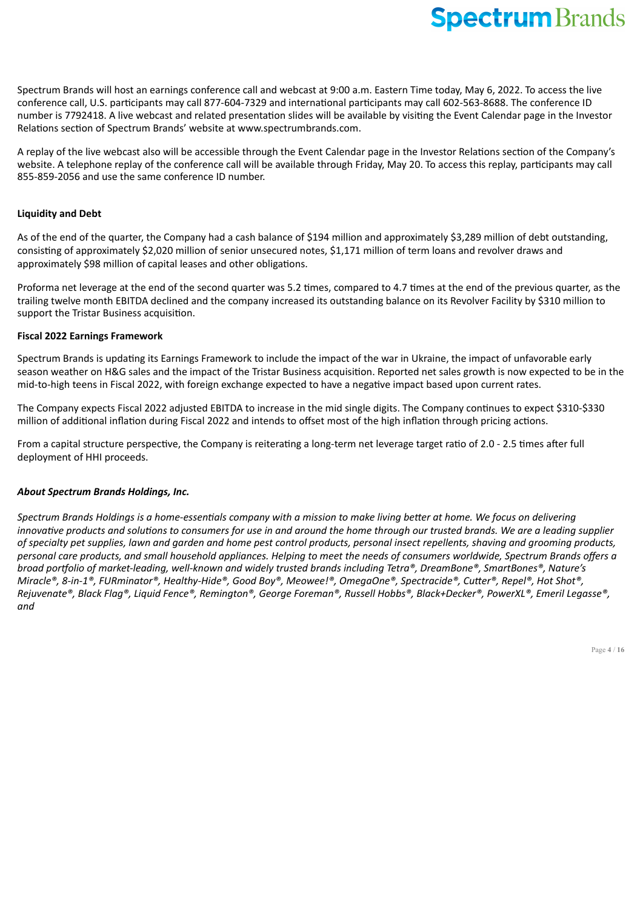Spectrum Brands will host an earnings conference call and webcast at 9:00 a.m. Eastern Time today, May 6, 2022. To access the live conference call, U.S. participants may call 877-604-7329 and international participants may call 602-563-8688. The conference ID number is 7792418. A live webcast and related presentation slides will be available by visiting the Event Calendar page in the Investor Relations section of Spectrum Brands' website at www.spectrumbrands.com.

A replay of the live webcast also will be accessible through the Event Calendar page in the Investor Relations section of the Company's website. A telephone replay of the conference call will be available through Friday, May 20. To access this replay, participants may call 855-859-2056 and use the same conference ID number.

## **Liquidity and Debt**

As of the end of the quarter, the Company had a cash balance of \$194 million and approximately \$3,289 million of debt outstanding, consisting of approximately \$2,020 million of senior unsecured notes, \$1,171 million of term loans and revolver draws and approximately \$98 million of capital leases and other obligations.

Proforma net leverage at the end of the second quarter was 5.2 times, compared to 4.7 times at the end of the previous quarter, as the trailing twelve month EBITDA declined and the company increased its outstanding balance on its Revolver Facility by \$310 million to support the Tristar Business acquisition.

## **Fiscal 2022 Earnings Framework**

Spectrum Brands is updating its Earnings Framework to include the impact of the war in Ukraine, the impact of unfavorable early season weather on H&G sales and the impact of the Tristar Business acquisition. Reported net sales growth is now expected to be in the mid-to-high teens in Fiscal 2022, with foreign exchange expected to have a negative impact based upon current rates.

The Company expects Fiscal 2022 adjusted EBITDA to increase in the mid single digits. The Company continues to expect \$310-\$330 million of additional inflation during Fiscal 2022 and intends to offset most of the high inflation through pricing actions.

From a capital structure perspective, the Company is reiterating a long-term net leverage target ratio of 2.0 - 2.5 times after full deployment of HHI proceeds.

## *About Spectrum Brands Holdings, Inc.*

*Spectrum Brands Holdings is a home-essentials company with a mission to make living better at home. We focus on delivering innovative products and solutions to consumers for use in and around the home through our trusted brands. We are a leading supplier of specialty pet supplies, lawn and garden and home pest control products, personal insect repellents, shaving and grooming products, personal care products, and small household appliances. Helping to meet the needs of consumers worldwide, Spectrum Brands offers a broad portfolio of market-leading, well-known and widely trusted brands including Tetra®, DreamBone®, SmartBones®, Nature's Miracle®, 8-in-1®, FURminator®, Healthy-Hide®, Good Boy®, Meowee!®, OmegaOne®, Spectracide®, Cutter®, Repel®, Hot Shot®, Rejuvenate®, Black Flag®, Liquid Fence®, Remington®, George Foreman®, Russell Hobbs®, Black+Decker®, PowerXL®, Emeril Legasse®, and*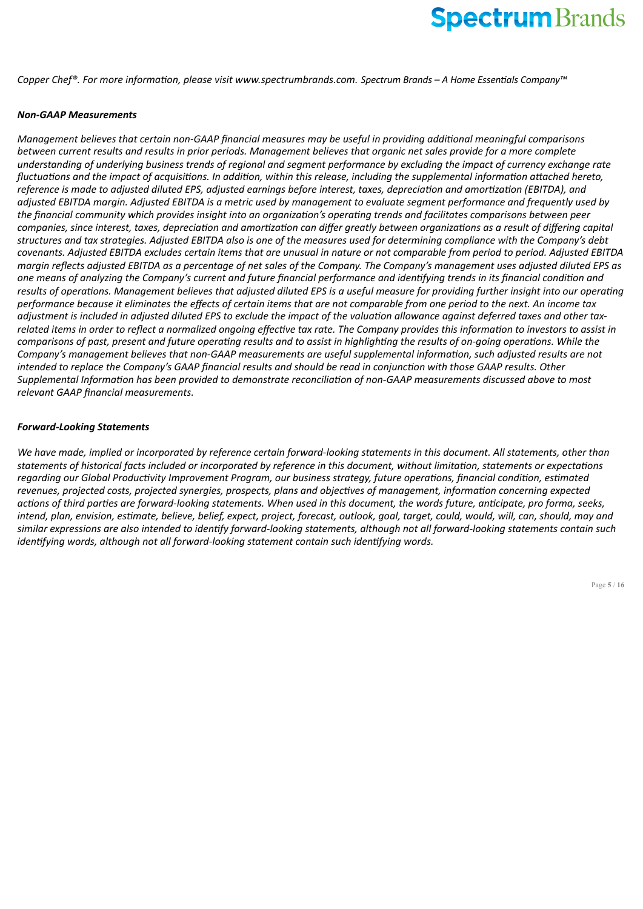*Copper Chef®. For more information, please visit www.spectrumbrands.com. Spectrum Brands – A Home Essentials Company™*

## *Non-GAAP Measurements*

*Management believes that certain non-GAAP financial measures may be useful in providing additional meaningful comparisons between current results and results in prior periods. Management believes that organic net sales provide for a more complete understanding of underlying business trends of regional and segment performance by excluding the impact of currency exchange rate fluctuations and the impact of acquisitions. In addition, within this release, including the supplemental information attached hereto, reference is made to adjusted diluted EPS, adjusted earnings before interest, taxes, depreciation and amortization (EBITDA), and adjusted EBITDA margin. Adjusted EBITDA is a metric used by management to evaluate segment performance and frequently used by the financial community which provides insight into an organization's operating trends and facilitates comparisons between peer companies, since interest, taxes, depreciation and amortization can differ greatly between organizations as a result of differing capital structures and tax strategies. Adjusted EBITDA also is one of the measures used for determining compliance with the Company's debt covenants. Adjusted EBITDA excludes certain items that are unusual in nature or not comparable from period to period. Adjusted EBITDA margin reflects adjusted EBITDA as a percentage of net sales of the Company. The Company's management uses adjusted diluted EPS as one means of analyzing the Company's current and future financial performance and identifying trends in its financial condition and results of operations. Management believes that adjusted diluted EPS is a useful measure for providing further insight into our operating performance because it eliminates the effects of certain items that are not comparable from one period to the next. An income tax adjustment is included in adjusted diluted EPS to exclude the impact of the valuation allowance against deferred taxes and other taxrelated items in order to reflect a normalized ongoing effective tax rate. The Company provides this information to investors to assist in comparisons of past, present and future operating results and to assist in highlighting the results of on-going operations. While the Company's management believes that non-GAAP measurements are useful supplemental information, such adjusted results are not intended to replace the Company's GAAP financial results and should be read in conjunction with those GAAP results. Other Supplemental Information has been provided to demonstrate reconciliation of non-GAAP measurements discussed above to most relevant GAAP financial measurements.*

## *Forward-Looking Statements*

*We have made, implied or incorporated by reference certain forward-looking statements in this document. All statements, other than statements of historical facts included or incorporated by reference in this document, without limitation, statements or expectations regarding our Global Productivity Improvement Program, our business strategy, future operations, financial condition, estimated revenues, projected costs, projected synergies, prospects, plans and objectives of management, information concerning expected actions of third parties are forward-looking statements. When used in this document, the words future, anticipate, pro forma, seeks, intend, plan, envision, estimate, believe, belief, expect, project, forecast, outlook, goal, target, could, would, will, can, should, may and similar expressions are also intended to identify forward-looking statements, although not all forward-looking statements contain such identifying words, although not all forward-looking statement contain such identifying words.*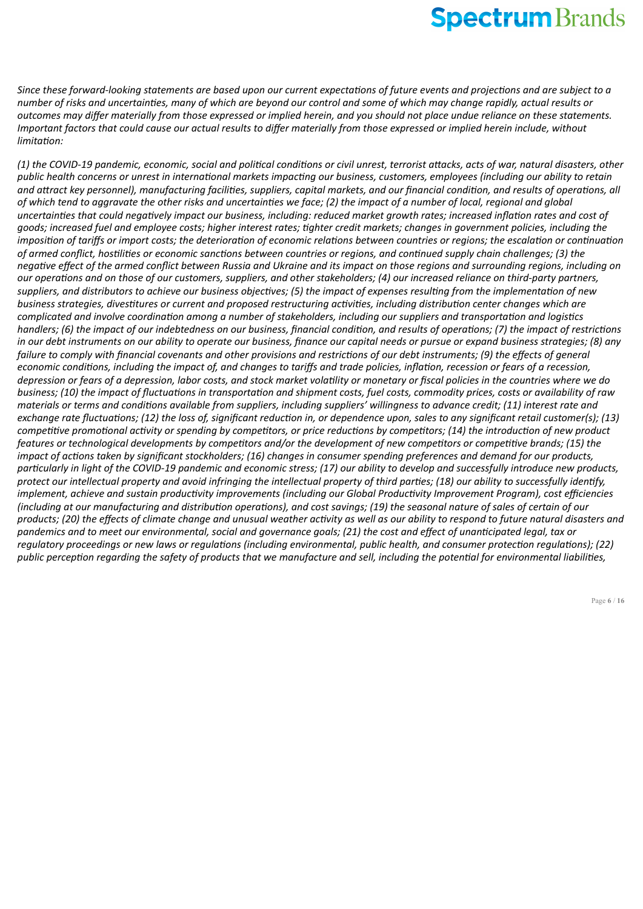*Since these forward-looking statements are based upon our current expectations of future events and projections and are subject to a number of risks and uncertainties, many of which are beyond our control and some of which may change rapidly, actual results or outcomes may differ materially from those expressed or implied herein, and you should not place undue reliance on these statements. Important factors that could cause our actual results to differ materially from those expressed or implied herein include, without limitation:*

*(1) the COVID-19 pandemic, economic, social and political conditions or civil unrest, terrorist attacks, acts of war, natural disasters, other public health concerns or unrest in international markets impacting our business, customers, employees (including our ability to retain and attract key personnel), manufacturing facilities, suppliers, capital markets, and our financial condition, and results of operations, all of which tend to aggravate the other risks and uncertainties we face; (2) the impact of a number of local, regional and global uncertainties that could negatively impact our business, including: reduced market growth rates; increased inflation rates and cost of goods; increased fuel and employee costs; higher interest rates; tighter credit markets; changes in government policies, including the imposition of tariffs or import costs; the deterioration of economic relations between countries or regions; the escalation or continuation of armed conflict, hostilities or economic sanctions between countries or regions, and continued supply chain challenges; (3) the negative effect of the armed conflict between Russia and Ukraine and its impact on those regions and surrounding regions, including on our operations and on those of our customers, suppliers, and other stakeholders; (4) our increased reliance on third-party partners, suppliers, and distributors to achieve our business objectives; (5) the impact of expenses resulting from the implementation of new business strategies, divestitures or current and proposed restructuring activities, including distribution center changes which are complicated and involve coordination among a number of stakeholders, including our suppliers and transportation and logistics handlers; (6) the impact of our indebtedness on our business, financial condition, and results of operations; (7) the impact of restrictions in our debt instruments on our ability to operate our business, finance our capital needs or pursue or expand business strategies; (8) any failure to comply with financial covenants and other provisions and restrictions of our debt instruments; (9) the effects of general economic conditions, including the impact of, and changes to tariffs and trade policies, inflation, recession or fears of a recession, depression or fears of a depression, labor costs, and stock market volatility or monetary or fiscal policies in the countries where we do business; (10) the impact of fluctuations in transportation and shipment costs, fuel costs, commodity prices, costs or availability of raw materials or terms and conditions available from suppliers, including suppliers' willingness to advance credit; (11) interest rate and exchange rate fluctuations; (12) the loss of, significant reduction in, or dependence upon, sales to any significant retail customer(s); (13) competitive promotional activity or spending by competitors, or price reductions by competitors; (14) the introduction of new product features or technological developments by competitors and/or the development of new competitors or competitive brands; (15) the impact of actions taken by significant stockholders; (16) changes in consumer spending preferences and demand for our products, particularly in light of the COVID-19 pandemic and economic stress; (17) our ability to develop and successfully introduce new products, protect our intellectual property and avoid infringing the intellectual property of third parties; (18) our ability to successfully identify, implement, achieve and sustain productivity improvements (including our Global Productivity Improvement Program), cost efficiencies (including at our manufacturing and distribution operations), and cost savings; (19) the seasonal nature of sales of certain of our products; (20) the effects of climate change and unusual weather activity as well as our ability to respond to future natural disasters and pandemics and to meet our environmental, social and governance goals; (21) the cost and effect of unanticipated legal, tax or regulatory proceedings or new laws or regulations (including environmental, public health, and consumer protection regulations); (22) public perception regarding the safety of products that we manufacture and sell, including the potential for environmental liabilities,*

Page **6** / **16**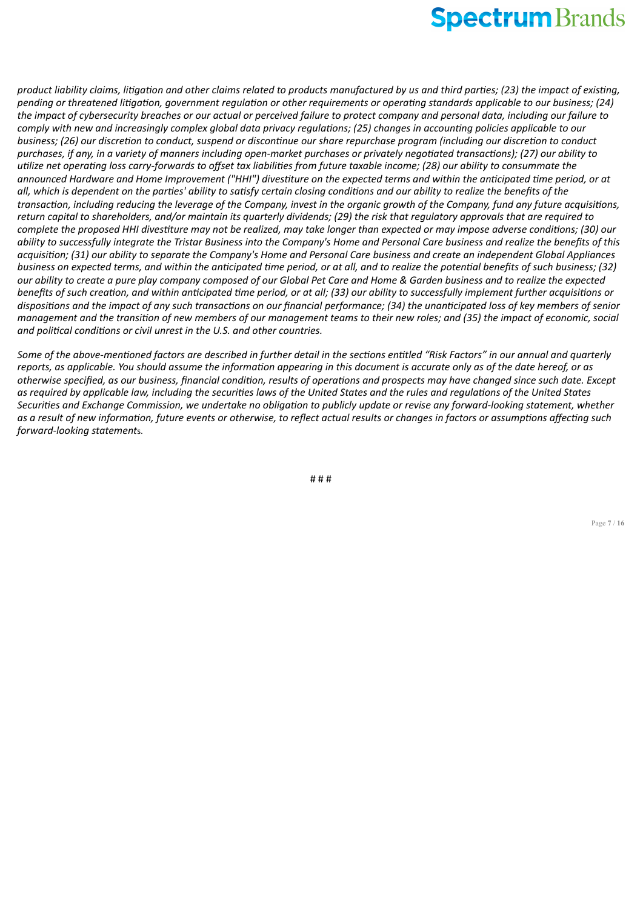*product liability claims, litigation and other claims related to products manufactured by us and third parties; (23) the impact of existing, pending or threatened litigation, government regulation or other requirements or operating standards applicable to our business; (24) the impact of cybersecurity breaches or our actual or perceived failure to protect company and personal data, including our failure to comply with new and increasingly complex global data privacy regulations; (25) changes in accounting policies applicable to our business; (26) our discretion to conduct, suspend or discontinue our share repurchase program (including our discretion to conduct purchases, if any, in a variety of manners including open-market purchases or privately negotiated transactions); (27) our ability to utilize net operating loss carry-forwards to offset tax liabilities from future taxable income; (28) our ability to consummate the announced Hardware and Home Improvement ("HHI") divestiture on the expected terms and within the anticipated time period, or at all, which is dependent on the parties' ability to satisfy certain closing conditions and our ability to realize the benefits of the transaction, including reducing the leverage of the Company, invest in the organic growth of the Company, fund any future acquisitions, return capital to shareholders, and/or maintain its quarterly dividends; (29) the risk that regulatory approvals that are required to complete the proposed HHI divestiture may not be realized, may take longer than expected or may impose adverse conditions; (30) our ability to successfully integrate the Tristar Business into the Company's Home and Personal Care business and realize the benefits of this acquisition; (31) our ability to separate the Company's Home and Personal Care business and create an independent Global Appliances business on expected terms, and within the anticipated time period, or at all, and to realize the potential benefits of such business; (32) our ability to create a pure play company composed of our Global Pet Care and Home & Garden business and to realize the expected benefits of such creation, and within anticipated time period, or at all; (33) our ability to successfully implement further acquisitions or dispositions and the impact of any such transactions on our financial performance; (34) the unanticipated loss of key members of senior management and the transition of new members of our management teams to their new roles; and (35) the impact of economic, social and political conditions or civil unrest in the U.S. and other countries.*

*Some of the above-mentioned factors are described in further detail in the sections entitled "Risk Factors" in our annual and quarterly reports, as applicable. You should assume the information appearing in this document is accurate only as of the date hereof, or as otherwise specified, as our business, financial condition, results of operations and prospects may have changed since such date. Except as required by applicable law, including the securities laws of the United States and the rules and regulations of the United States Securities and Exchange Commission, we undertake no obligation to publicly update or revise any forward-looking statement, whether as a result of new information, future events or otherwise, to reflect actual results or changes in factors or assumptions affecting such forward-looking statement*s.

# # #

Page **7** / **16**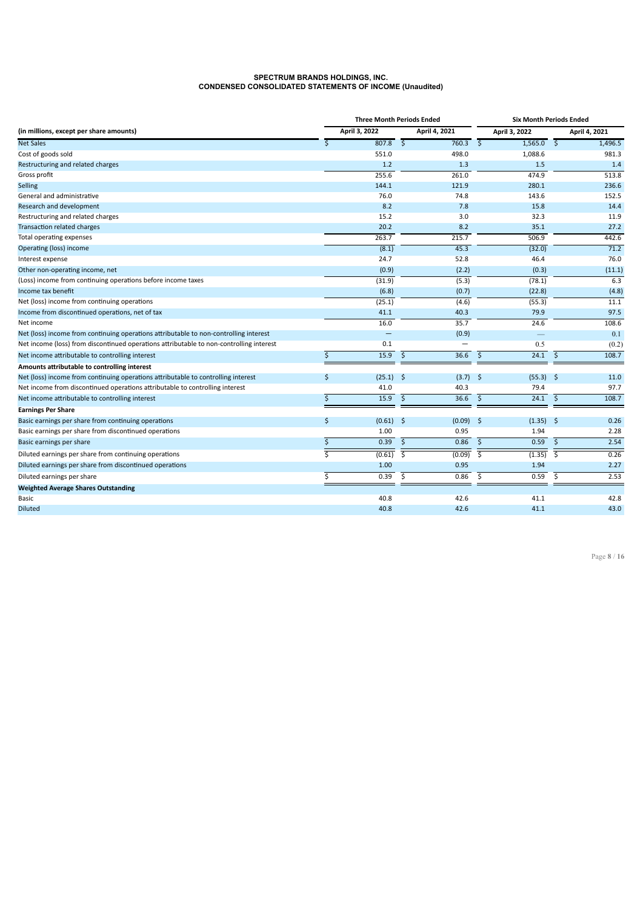#### **SPECTRUM BRANDS HOLDINGS, INC. CONDENSED CONSOLIDATED STATEMENTS OF INCOME (Unaudited)**

|                                                                                         | <b>Three Month Periods Ended</b> |                         | <b>Six Month Periods Ended</b> |                         |                          |                     |               |
|-----------------------------------------------------------------------------------------|----------------------------------|-------------------------|--------------------------------|-------------------------|--------------------------|---------------------|---------------|
| (in millions, except per share amounts)                                                 | April 3, 2022                    |                         | April 4, 2021                  | April 3, 2022           |                          |                     | April 4, 2021 |
| <b>Net Sales</b>                                                                        | \$<br>807.8                      | $\mathsf{S}$            | 760.3                          | $\mathsf{S}$            | 1,565.0                  | $\mathsf{\hat{S}}$  | 1,496.5       |
| Cost of goods sold                                                                      | 551.0                            |                         | 498.0                          |                         | 1,088.6                  |                     | 981.3         |
| Restructuring and related charges                                                       | 1.2                              |                         | 1.3                            |                         | 1.5                      |                     | 1.4           |
| Gross profit                                                                            | 255.6                            |                         | 261.0                          |                         | 474.9                    |                     | 513.8         |
| Selling                                                                                 | 144.1                            |                         | 121.9                          |                         | 280.1                    |                     | 236.6         |
| General and administrative                                                              | 76.0                             |                         | 74.8                           |                         | 143.6                    |                     | 152.5         |
| Research and development                                                                | 8.2                              |                         | 7.8                            |                         | 15.8                     |                     | 14.4          |
| Restructuring and related charges                                                       | 15.2                             |                         | 3.0                            |                         | 32.3                     |                     | 11.9          |
| Transaction related charges                                                             | 20.2                             |                         | 8.2                            |                         | 35.1                     |                     | 27.2          |
| Total operating expenses                                                                | 263.7                            |                         | 215.7                          |                         | 506.9                    |                     | 442.6         |
| Operating (loss) income                                                                 | (8.1)                            |                         | 45.3                           |                         | (32.0)                   |                     | 71.2          |
| Interest expense                                                                        | 24.7                             |                         | 52.8                           |                         | 46.4                     |                     | 76.0          |
| Other non-operating income, net                                                         | (0.9)                            |                         | (2.2)                          |                         | (0.3)                    |                     | (11.1)        |
| (Loss) income from continuing operations before income taxes                            | (31.9)                           |                         | (5.3)                          |                         | (78.1)                   |                     | 6.3           |
| Income tax benefit                                                                      | (6.8)                            |                         | (0.7)                          |                         | (22.8)                   |                     | (4.8)         |
| Net (loss) income from continuing operations                                            | (25.1)                           |                         | (4.6)                          |                         | (55.3)                   |                     | 11.1          |
| Income from discontinued operations, net of tax                                         | 41.1                             |                         | 40.3                           |                         | 79.9                     |                     | 97.5          |
| Net income                                                                              | 16.0                             |                         | 35.7                           |                         | 24.6                     |                     | 108.6         |
| Net (loss) income from continuing operations attributable to non-controlling interest   | $\qquad \qquad -$                |                         | (0.9)                          |                         | $\overline{\phantom{0}}$ |                     | 0.1           |
| Net income (loss) from discontinued operations attributable to non-controlling interest | 0.1                              |                         | -                              |                         | 0.5                      |                     | (0.2)         |
| Net income attributable to controlling interest                                         | \$<br>15.9                       | $\mathsf{\hat{S}}$      | 36.6                           | $\mathsf{\hat{S}}$      | 24.1                     | -\$                 | 108.7         |
| Amounts attributable to controlling interest                                            |                                  |                         |                                |                         |                          |                     |               |
| Net (loss) income from continuing operations attributable to controlling interest       | \$<br>$(25.1)$ \$                |                         | $(3.7)$ \$                     |                         | $(55.3)$ \$              |                     | 11.0          |
| Net income from discontinued operations attributable to controlling interest            | 41.0                             |                         | 40.3                           |                         | 79.4                     |                     | 97.7          |
| Net income attributable to controlling interest                                         | \$<br>15.9                       | $\ddot{\mathsf{S}}$     | 36.6                           | $\ddot{\mathsf{S}}$     | 24.1                     | $\ddot{\mathsf{S}}$ | 108.7         |
| <b>Earnings Per Share</b>                                                               |                                  |                         |                                |                         |                          |                     |               |
| Basic earnings per share from continuing operations                                     | \$<br>$(0.61)$ \$                |                         | $(0.09)$ \$                    |                         | $(1.35)$ \$              |                     | 0.26          |
| Basic earnings per share from discontinued operations                                   | 1.00                             |                         | 0.95                           |                         | 1.94                     |                     | 2.28          |
| Basic earnings per share                                                                | \$<br>0.39                       | $\mathsf{\hat{S}}$      | 0.86                           | $\mathsf{S}$            | $0.59$ \$                |                     | 2.54          |
| Diluted earnings per share from continuing operations                                   | (0.61)                           | $\overline{\mathsf{S}}$ | (0.09)                         | $\overline{\mathsf{S}}$ | (1.35)                   | \$                  | 0.26          |
| Diluted earnings per share from discontinued operations                                 | 1.00                             |                         | 0.95                           |                         | 1.94                     |                     | 2.27          |
| Diluted earnings per share                                                              | \$<br>0.39                       | \$                      | 0.86                           | \$                      | 0.59                     | \$                  | 2.53          |
| <b>Weighted Average Shares Outstanding</b>                                              |                                  |                         |                                |                         |                          |                     |               |
| Basic                                                                                   | 40.8                             |                         | 42.6                           |                         | 41.1                     |                     | 42.8          |
| <b>Diluted</b>                                                                          | 40.8                             |                         | 42.6                           |                         | 41.1                     |                     | 43.0          |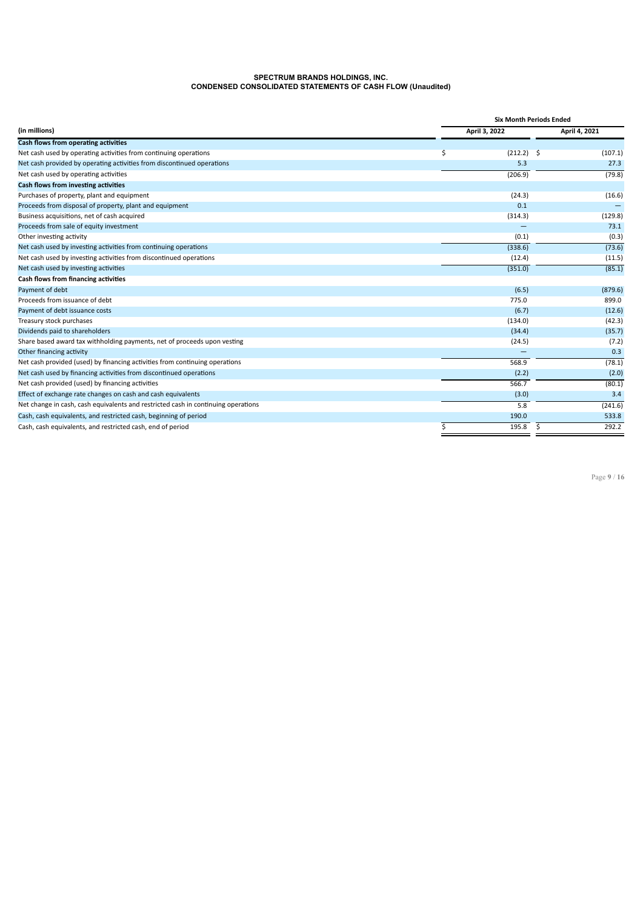#### **SPECTRUM BRANDS HOLDINGS, INC. CONDENSED CONSOLIDATED STATEMENTS OF CASH FLOW (Unaudited)**

|                                                                                   | <b>Six Month Periods Ended</b> |               |  |  |  |  |  |  |
|-----------------------------------------------------------------------------------|--------------------------------|---------------|--|--|--|--|--|--|
| (in millions)                                                                     | April 3, 2022                  | April 4, 2021 |  |  |  |  |  |  |
| Cash flows from operating activities                                              |                                |               |  |  |  |  |  |  |
| Net cash used by operating activities from continuing operations                  | \$<br>$(212.2)$ \$             | (107.1)       |  |  |  |  |  |  |
| Net cash provided by operating activities from discontinued operations            | 5.3                            | 27.3          |  |  |  |  |  |  |
| Net cash used by operating activities                                             | (206.9)                        | (79.8)        |  |  |  |  |  |  |
| Cash flows from investing activities                                              |                                |               |  |  |  |  |  |  |
| Purchases of property, plant and equipment                                        | (24.3)                         | (16.6)        |  |  |  |  |  |  |
| Proceeds from disposal of property, plant and equipment                           | 0.1                            |               |  |  |  |  |  |  |
| Business acquisitions, net of cash acquired                                       | (314.3)                        | (129.8)       |  |  |  |  |  |  |
| Proceeds from sale of equity investment                                           |                                | 73.1          |  |  |  |  |  |  |
| Other investing activity                                                          | (0.1)                          | (0.3)         |  |  |  |  |  |  |
| Net cash used by investing activities from continuing operations                  | (338.6)                        | (73.6)        |  |  |  |  |  |  |
| Net cash used by investing activities from discontinued operations                | (12.4)                         | (11.5)        |  |  |  |  |  |  |
| Net cash used by investing activities                                             | (351.0)                        | (85.1)        |  |  |  |  |  |  |
| Cash flows from financing activities                                              |                                |               |  |  |  |  |  |  |
| Payment of debt                                                                   | (6.5)                          | (879.6)       |  |  |  |  |  |  |
| Proceeds from issuance of debt                                                    | 775.0                          | 899.0         |  |  |  |  |  |  |
| Payment of debt issuance costs                                                    | (6.7)                          | (12.6)        |  |  |  |  |  |  |
| Treasury stock purchases                                                          | (134.0)                        | (42.3)        |  |  |  |  |  |  |
| Dividends paid to shareholders                                                    | (34.4)                         | (35.7)        |  |  |  |  |  |  |
| Share based award tax withholding payments, net of proceeds upon vesting          | (24.5)                         | (7.2)         |  |  |  |  |  |  |
| Other financing activity                                                          |                                | 0.3           |  |  |  |  |  |  |
| Net cash provided (used) by financing activities from continuing operations       | 568.9                          | (78.1)        |  |  |  |  |  |  |
| Net cash used by financing activities from discontinued operations                | (2.2)                          | (2.0)         |  |  |  |  |  |  |
| Net cash provided (used) by financing activities                                  | 566.7                          | (80.1)        |  |  |  |  |  |  |
| Effect of exchange rate changes on cash and cash equivalents                      | (3.0)                          | 3.4           |  |  |  |  |  |  |
| Net change in cash, cash equivalents and restricted cash in continuing operations | 5.8                            | (241.6)       |  |  |  |  |  |  |
| Cash, cash equivalents, and restricted cash, beginning of period                  | 190.0                          | 533.8         |  |  |  |  |  |  |
| Cash, cash equivalents, and restricted cash, end of period                        | \$<br>\$<br>195.8              | 292.2         |  |  |  |  |  |  |

Page **9** / **16**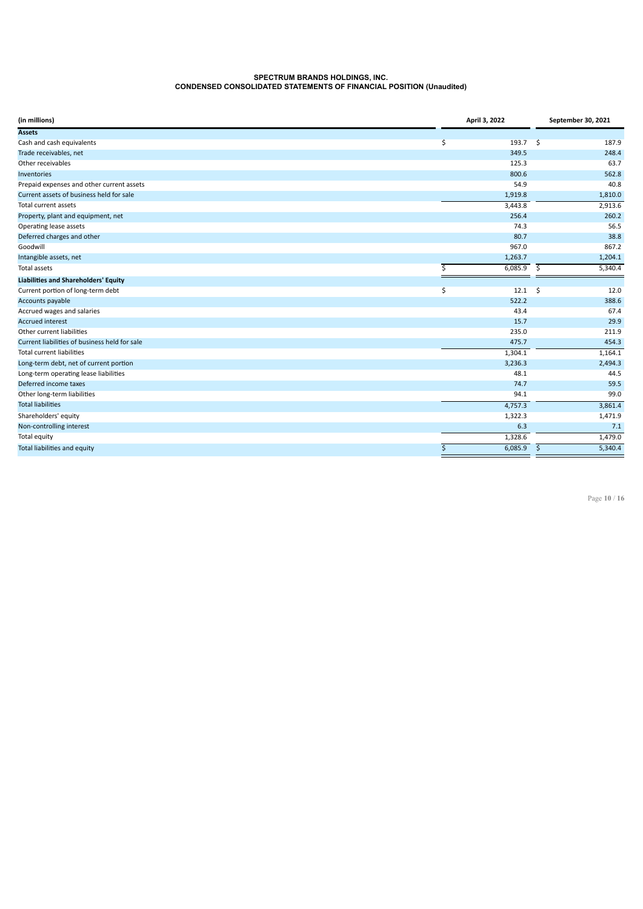#### **SPECTRUM BRANDS HOLDINGS, INC. CONDENSED CONSOLIDATED STATEMENTS OF FINANCIAL POSITION (Unaudited)**

| (in millions)                                 | April 3, 2022 |              |      | September 30, 2021 |
|-----------------------------------------------|---------------|--------------|------|--------------------|
| <b>Assets</b>                                 |               |              |      |                    |
| Cash and cash equivalents                     | \$            | 193.7 \$     |      | 187.9              |
| Trade receivables, net                        |               | 349.5        |      | 248.4              |
| Other receivables                             |               | 125.3        |      | 63.7               |
| Inventories                                   |               | 800.6        |      | 562.8              |
| Prepaid expenses and other current assets     |               | 54.9         |      | 40.8               |
| Current assets of business held for sale      |               | 1,919.8      |      | 1,810.0            |
| <b>Total current assets</b>                   |               | 3,443.8      |      | 2,913.6            |
| Property, plant and equipment, net            |               | 256.4        |      | 260.2              |
| Operating lease assets                        |               | 74.3         |      | 56.5               |
| Deferred charges and other                    |               | 80.7         |      | 38.8               |
| Goodwill                                      |               | 967.0        |      | 867.2              |
| Intangible assets, net                        |               | 1,263.7      |      | 1,204.1            |
| Total assets                                  | \$            | 6,085.9      | \$   | 5,340.4            |
| <b>Liabilities and Shareholders' Equity</b>   |               |              |      |                    |
| Current portion of long-term debt             | \$            | 12.1         | - \$ | 12.0               |
| Accounts payable                              |               | 522.2        |      | 388.6              |
| Accrued wages and salaries                    |               | 43.4         |      | 67.4               |
| <b>Accrued interest</b>                       |               | 15.7         |      | 29.9               |
| Other current liabilities                     |               | 235.0        |      | 211.9              |
| Current liabilities of business held for sale |               | 475.7        |      | 454.3              |
| <b>Total current liabilities</b>              |               | 1,304.1      |      | 1,164.1            |
| Long-term debt, net of current portion        |               | 3,236.3      |      | 2,494.3            |
| Long-term operating lease liabilities         |               | 48.1         |      | 44.5               |
| Deferred income taxes                         |               | 74.7         |      | 59.5               |
| Other long-term liabilities                   |               | 94.1         |      | 99.0               |
| <b>Total liabilities</b>                      |               | 4,757.3      |      | 3,861.4            |
| Shareholders' equity                          |               | 1,322.3      |      | 1,471.9            |
| Non-controlling interest                      |               | 6.3          |      | 7.1                |
| Total equity                                  |               | 1,328.6      |      | 1,479.0            |
| Total liabilities and equity                  | \$            | $6,085.9$ \$ |      | 5,340.4            |

Page **10** / **16**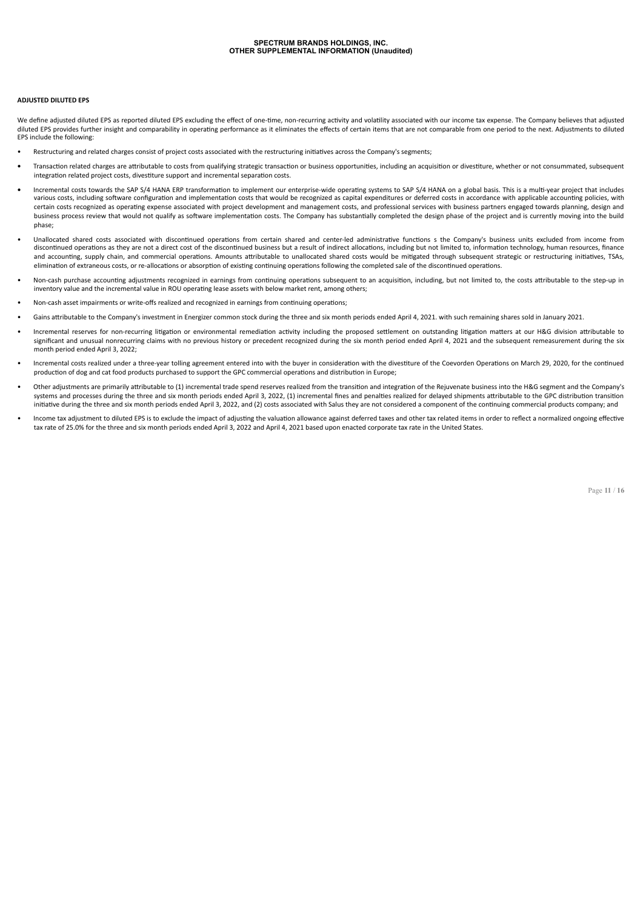#### **ADJUSTED DILUTED EPS**

We define adjusted diluted EPS as reported diluted EPS excluding the effect of one-time, non-recurring activity and volatility associated with our income tax expense. The Company believes that adjusted diluted EPS provides further insight and comparability in operating performance as it eliminates the effects of certain items that are not comparable from one period to the next. Adjustments to diluted EPS include the following:

- Restructuring and related charges consist of project costs associated with the restructuring initiatives across the Company's segments;
- **•** Transaction related charges are attributable to costs from qualifying strategic transaction or business opportunities, including an acquisition or divestiture, whether or not consummated, subsequent integration related project costs, divestiture support and incremental separation costs.
- **•** Incremental costs towards the SAP S/4 HANA ERP transformation to implement our enterprise-wide operating systems to SAP S/4 HANA on a global basis. This is a multi-year project that includes various costs, including software configuration and implementation costs that would be recognized as capital expenditures or deferred costs in accordance with applicable accounting policies, with certain costs recognized as operating expense associated with project development and management costs, and professional services with business partners engaged towards planning, design and business process review that would not qualify as software implementation costs. The Company has substantially completed the design phase of the project and is currently moving into the build phase;
- Unallocated shared costs associated with discontinued operations from certain shared and center-led administrative functions s the Company's business units excluded from income from discontinued operations as they are not a direct cost of the discontinued business but a result of indirect allocations, including but not limited to, information technology, human resources, finance and accounting, supply chain, and commercial operations. Amounts attributable to unallocated shared costs would be mitigated through subsequent strategic or restructuring initiatives, TSAs, elimination of extraneous costs, or re-allocations or absorption of existing continuing operations following the completed sale of the discontinued operations.
- Non-cash purchase accounting adjustments recognized in earnings from continuing operations subsequent to an acquisition, including, but not limited to, the costs attributable to the step-up in inventory value and the incremental value in ROU operating lease assets with below market rent, among others;
- Non-cash asset impairments or write-offs realized and recognized in earnings from continuing operations;
- Gains attributable to the Company's investment in Energizer common stock during the three and six month periods ended April 4, 2021. with such remaining shares sold in January 2021.
- Incremental reserves for non-recurring litigation or environmental remediation activity including the proposed settlement on outstanding litigation matters at our H&G division attributable to significant and unusual nonrecurring claims with no previous history or precedent recognized during the six month period ended April 4, 2021 and the subsequent remeasurement during the six month period ended April 3, 2022;
- Incremental costs realized under a three-year tolling agreement entered into with the buyer in consideration with the divestiture of the Coevorden Operations on March 29, 2020, for the continued production of dog and cat food products purchased to support the GPC commercial operations and distribution in Europe;
- Other adjustments are primarily attributable to (1) incremental trade spend reserves realized from the transition and integration of the Rejuvenate business into the H&G segment and the Company's systems and processes during the three and six month periods ended April 3, 2022, (1) incremental fines and penalties realized for delayed shipments attributable to the GPC distribution transition initiative during the three and six month periods ended April 3, 2022, and (2) costs associated with Salus they are not considered a component of the continuing commercial products company; and
- Income tax adjustment to diluted EPS is to exclude the impact of adjusting the valuation allowance against deferred taxes and other tax related items in order to reflect a normalized ongoing effective tax rate of 25.0% for the three and six month periods ended April 3, 2022 and April 4, 2021 based upon enacted corporate tax rate in the United States.

Page **11** / **16**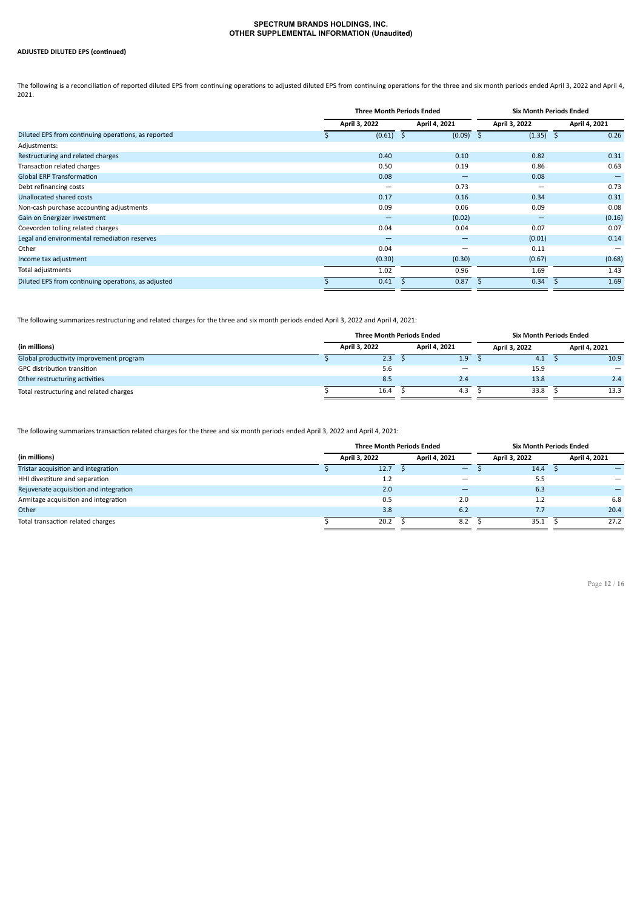### **ADJUSTED DILUTED EPS (continued)**

The following is a reconciliation of reported diluted EPS from continuing operations to adjusted diluted EPS from continuing operations for the three and six month periods ended April 3, 2022 and April 4, 2021.

|                                                     |               |        | <b>Three Month Periods Ended</b> | <b>Six Month Periods Ended</b> |                      |  |  |  |
|-----------------------------------------------------|---------------|--------|----------------------------------|--------------------------------|----------------------|--|--|--|
|                                                     | April 3, 2022 |        | April 4, 2021                    | April 3, 2022                  | April 4, 2021        |  |  |  |
| Diluted EPS from continuing operations, as reported |               | (0.61) | (0.09)                           | (1.35)                         | 0.26<br><sub>S</sub> |  |  |  |
| Adjustments:                                        |               |        |                                  |                                |                      |  |  |  |
| Restructuring and related charges                   |               | 0.40   | 0.10                             | 0.82                           | 0.31                 |  |  |  |
| Transaction related charges                         |               | 0.50   | 0.19                             | 0.86                           | 0.63                 |  |  |  |
| <b>Global ERP Transformation</b>                    |               | 0.08   | -                                | 0.08                           |                      |  |  |  |
| Debt refinancing costs                              |               | -      | 0.73                             | -                              | 0.73                 |  |  |  |
| Unallocated shared costs                            |               | 0.17   | 0.16                             | 0.34                           | 0.31                 |  |  |  |
| Non-cash purchase accounting adjustments            |               | 0.09   | 0.06                             | 0.09                           | 0.08                 |  |  |  |
| Gain on Energizer investment                        |               | -      | (0.02)                           | -                              | (0.16)               |  |  |  |
| Coevorden tolling related charges                   |               | 0.04   | 0.04                             | 0.07                           | 0.07                 |  |  |  |
| Legal and environmental remediation reserves        |               | -      | -                                | (0.01)                         | 0.14                 |  |  |  |
| Other                                               |               | 0.04   | –                                | 0.11                           |                      |  |  |  |
| Income tax adjustment                               |               | (0.30) | (0.30)                           | (0.67)                         | (0.68)               |  |  |  |
| Total adjustments                                   |               | 1.02   | 0.96                             | 1.69                           | 1.43                 |  |  |  |
| Diluted EPS from continuing operations, as adjusted |               | 0.41   | 0.87                             | 0.34                           | 1.69                 |  |  |  |

The following summarizes restructuring and related charges for the three and six month periods ended April 3, 2022 and April 4, 2021:

|                                         |               | <b>Three Month Periods Ended</b> |               |     | Six Month Periods Ended |      |               |                              |  |
|-----------------------------------------|---------------|----------------------------------|---------------|-----|-------------------------|------|---------------|------------------------------|--|
| (in millions)                           | April 3, 2022 |                                  | April 4, 2021 |     | April 3, 2022           |      | April 4, 2021 |                              |  |
| Global productivity improvement program |               | 2.3                              |               | 1.9 |                         | 4.1  |               | 10.9                         |  |
| GPC distribution transition             |               | 5.6                              |               | -   |                         | 15.9 |               | $\qquad \qquad \blacksquare$ |  |
| Other restructuring activities          |               | 8.5                              |               | 2.4 |                         | 13.8 |               | 2.4                          |  |
| Total restructuring and related charges |               | 16.4                             |               | 4.3 |                         | 33.8 |               | 13.3                         |  |

The following summarizes transaction related charges for the three and six month periods ended April 3, 2022 and April 4, 2021:

|                                        |  | <b>Three Month Periods Ended</b> |               |     | <b>Six Month Periods Ended</b> |      |  |               |
|----------------------------------------|--|----------------------------------|---------------|-----|--------------------------------|------|--|---------------|
| (in millions)                          |  | April 3, 2022                    | April 4, 2021 |     | April 3, 2022                  |      |  | April 4, 2021 |
| Tristar acquisition and integration    |  | 12.7                             |               | -   |                                | 14.4 |  |               |
| HHI divestiture and separation         |  | 1.2                              |               |     |                                | 5.5  |  |               |
| Rejuvenate acquisition and integration |  | 2.0                              |               |     |                                | 6.3  |  |               |
| Armitage acquisition and integration   |  | 0.5                              |               | 2.0 |                                | 1.2  |  | 6.8           |
| Other                                  |  | 3.8                              |               | 6.2 |                                | 7.7  |  | 20.4          |
| Total transaction related charges      |  | 20.2                             |               | 8.2 |                                | 35.1 |  | 27.2          |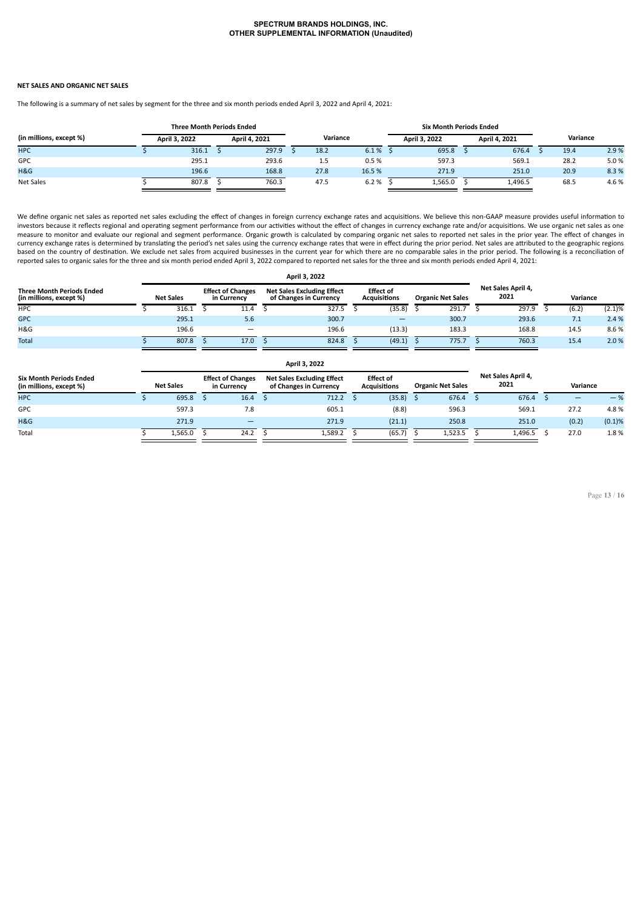#### **NET SALES AND ORGANIC NET SALES**

The following is a summary of net sales by segment for the three and six month periods ended April 3, 2022 and April 4, 2021:

|                         | <b>Three Month Periods Ended</b> |               |  |               |          |      |       |               |         | <b>Six Month Periods Ended</b> |         |          |      |       |  |  |  |
|-------------------------|----------------------------------|---------------|--|---------------|----------|------|-------|---------------|---------|--------------------------------|---------|----------|------|-------|--|--|--|
| (in millions, except %) |                                  | April 3, 2022 |  | April 4, 2021 | Variance |      |       | April 3, 2022 |         | April 4, 2021                  |         | Variance |      |       |  |  |  |
| <b>HPC</b>              |                                  | 316.1         |  | 297.9         |          | 18.2 | 6.1%  |               | 695.8   |                                | 676.4   |          | 19.4 | 2.9%  |  |  |  |
| GPC                     |                                  | 295.1         |  | 293.6         |          | 1.5  | 0.5%  |               | 597.3   |                                | 569.1   |          | 28.2 | 5.0%  |  |  |  |
| H&G                     |                                  | 196.6         |  | 168.8         |          | 27.8 | 16.5% |               | 271.9   |                                | 251.0   |          | 20.9 | 8.3%  |  |  |  |
| Net Sales               |                                  | 807.8         |  | 760.3         |          | 47.5 | 6.2%  |               | 1,565.0 |                                | 1,496.5 |          | 68.5 | 4.6 % |  |  |  |

We define organic net sales as reported net sales excluding the effect of changes in foreign currency exchange rates and acquisitions. We believe this non-GAAP measure provides useful information to investors because it reflects regional and operating segment performance from our activities without the effect of changes in currency exchange rate and/or acquisitions. We use organic net sales as one measure to monitor and evaluate our regional and segment performance. Organic growth is calculated by comparing organic net sales to reported net sales in the prior year. The effect of changes in currency exchange rates is determined by translating the period's net sales using the currency exchange rates that were in effect during the prior period. Net sales are attributed to the geographic regions<br>based on the cou reported sales to organic sales for the three and six month period ended April 3, 2022 compared to reported net sales for the three and six month periods ended April 4, 2021:

| April 3, 2022                                                                   |  |                                         |  |                          |                                                             |       |                                         |        |                          |       |                            |          |  |       |           |
|---------------------------------------------------------------------------------|--|-----------------------------------------|--|--------------------------|-------------------------------------------------------------|-------|-----------------------------------------|--------|--------------------------|-------|----------------------------|----------|--|-------|-----------|
| <b>Three Month Periods Ended</b><br>(in millions, except %)<br><b>Net Sales</b> |  | <b>Effect of Changes</b><br>in Currency |  |                          | <b>Net Sales Excluding Effect</b><br>of Changes in Currency |       | <b>Effect of</b><br><b>Acquisitions</b> |        | <b>Organic Net Sales</b> |       | Net Sales April 4,<br>2021 | Variance |  |       |           |
| <b>HPC</b>                                                                      |  | 316.1                                   |  | 11.4                     |                                                             | 327.5 |                                         | (35.8) |                          | 291.7 |                            | 297.9    |  | (6.2) | $(2.1)\%$ |
| <b>GPC</b>                                                                      |  | 295.1                                   |  | 5.6                      |                                                             | 300.7 |                                         | -      |                          | 300.7 |                            | 293.6    |  | 7.1   | 2.4%      |
| H&G                                                                             |  | 196.6                                   |  | $\overline{\phantom{m}}$ |                                                             | 196.6 |                                         | (13.3) |                          | 183.3 |                            | 168.8    |  | 14.5  | 8.6%      |
| Total                                                                           |  | 807.8                                   |  | 17.0                     |                                                             | 824.8 |                                         | (49.1) |                          | 775.7 |                            | 760.3    |  | 15.4  | 2.0%      |

| April 3, 2022                                             |                  |         |                                         |                          |                                                             |         |                                         |        |                          |         |                            |         |          |       |        |
|-----------------------------------------------------------|------------------|---------|-----------------------------------------|--------------------------|-------------------------------------------------------------|---------|-----------------------------------------|--------|--------------------------|---------|----------------------------|---------|----------|-------|--------|
| <b>Six Month Periods Ended</b><br>(in millions, except %) | <b>Net Sales</b> |         | <b>Effect of Changes</b><br>in Currency |                          | <b>Net Sales Excluding Effect</b><br>of Changes in Currency |         | <b>Effect of</b><br><b>Acquisitions</b> |        | <b>Organic Net Sales</b> |         | Net Sales April 4,<br>2021 |         | Variance |       |        |
| <b>HPC</b>                                                |                  | 695.8   |                                         | 16.4                     |                                                             | 712.2   |                                         | (35.8) |                          | 676.4   |                            | 676.4   |          | -     | $-$ %  |
| GPC                                                       |                  | 597.3   |                                         | 7.8                      |                                                             | 605.1   |                                         | (8.8)  |                          | 596.3   |                            | 569.1   |          | 27.2  | 4.8%   |
| H&G                                                       |                  | 271.9   |                                         | $\overline{\phantom{0}}$ |                                                             | 271.9   |                                         | (21.1) |                          | 250.8   |                            | 251.0   |          | (0.2) | (0.1)% |
| Total                                                     |                  | 1,565.0 |                                         | 24.2                     |                                                             | 1,589.2 |                                         | (65.7) |                          | 1,523.5 |                            | 1,496.5 |          | 27.0  | 1.8%   |

Page **13** / **16**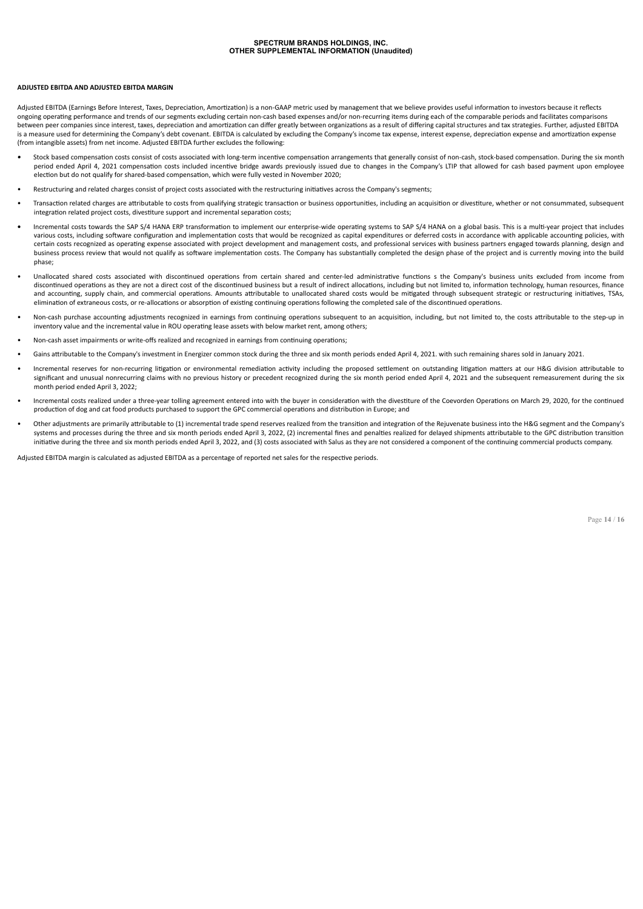#### **ADJUSTED EBITDA AND ADJUSTED EBITDA MARGIN**

Adjusted EBITDA (Earnings Before Interest, Taxes, Depreciation, Amortization) is a non-GAAP metric used by management that we believe provides useful information to investors because it reflects ongoing operating performance and trends of our segments excluding certain non-cash based expenses and/or non-recurring items during each of the comparable periods and facilitates comparisons<br>between peer companies since i is a measure used for determining the Company's debt covenant. EBITDA is calculated by excluding the Company's income tax expense, interest expense, depreciation expense and amortization expense (from intangible assets) from net income. Adjusted EBITDA further excludes the following:

- Stock based compensation costs consist of costs associated with long-term incentive compensation arrangements that generally consist of non-cash, stock-based compensation. During the six month period ended April 4, 2021 compensation costs included incentive bridge awards previously issued due to changes in the Company's LTIP that allowed for cash based payment upon employee election but do not qualify for shared-based compensation, which were fully vested in November 2020;
- Restructuring and related charges consist of project costs associated with the restructuring initiatives across the Company's segments;
- Transaction related charges are attributable to costs from qualifying strategic transaction or business opportunities, including an acquisition or divestiture, whether or not consummated, subsequent integration related project costs, divestiture support and incremental separation costs;
- **•** Incremental costs towards the SAP S/4 HANA ERP transformation to implement our enterprise-wide operating systems to SAP S/4 HANA on a global basis. This is a multi-year project that includes various costs, including software configuration and implementation costs that would be recognized as capital expenditures or deferred costs in accordance with applicable accounting policies, with certain costs recognized as operating expense associated with project development and management costs, and professional services with business partners engaged towards planning, design and business process review that would not qualify as software implementation costs. The Company has substantially completed the design phase of the project and is currently moving into the build phase;
- Unallocated shared costs associated with discontinued operations from certain shared and center-led administrative functions s the Company's business units excluded from income from discontinued operations as they are not a direct cost of the discontinued business but a result of indirect allocations, including but not limited to, information technology, human resources, finance and accounting, supply chain, and commercial operations. Amounts attributable to unallocated shared costs would be mitigated through subsequent strategic or restructuring initiatives, TSAs, elimination of extraneous costs, or re-allocations or absorption of existing continuing operations following the completed sale of the discontinued operations.
- Non-cash purchase accounting adjustments recognized in earnings from continuing operations subsequent to an acquisition, including, but not limited to, the costs attributable to the step-up in inventory value and the incremental value in ROU operating lease assets with below market rent, among others;
- Non-cash asset impairments or write-offs realized and recognized in earnings from continuing operations;
- Gains attributable to the Company's investment in Energizer common stock during the three and six month periods ended April 4, 2021. with such remaining shares sold in January 2021.
- Incremental reserves for non-recurring litigation or environmental remediation activity including the proposed settlement on outstanding litigation matters at our H&G division attributable to significant and unusual nonrecurring claims with no previous history or precedent recognized during the six month period ended April 4, 2021 and the subsequent remeasurement during the six month period ended April 3, 2022;
- Incremental costs realized under a three-year tolling agreement entered into with the buyer in consideration with the divestiture of the Coevorden Operations on March 29, 2020, for the continued production of dog and cat food products purchased to support the GPC commercial operations and distribution in Europe; and
- Other adjustments are primarily attributable to (1) incremental trade spend reserves realized from the transition and integration of the Rejuvenate business into the H&G segment and the Company's systems and processes during the three and six month periods ended April 3, 2022, (2) incremental fines and penalties realized for delayed shipments attributable to the GPC distribution transition initiative during the three and six month periods ended April 3, 2022, and (3) costs associated with Salus as they are not considered a component of the continuing commercial products company.

Adjusted EBITDA margin is calculated as adjusted EBITDA as a percentage of reported net sales for the respective periods.

Page **14** / **16**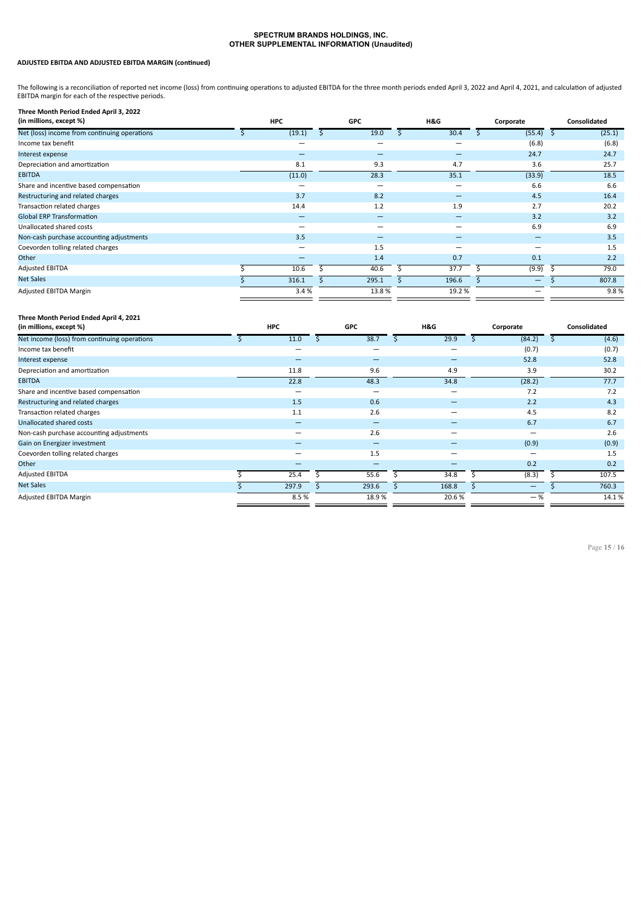### **ADJUSTED EBITDA AND ADJUSTED EBITDA MARGIN (continued)**

The following is a reconciliation of reported net income (loss) from continuing operations to adjusted EBITDA for the three month periods ended April 3, 2022 and April 4, 2021, and calculation of adjusted EBITDA margin for each of the respective periods.

| Three Month Period Ended April 3, 2022       |                          |                          |                          |           |        |              |        |
|----------------------------------------------|--------------------------|--------------------------|--------------------------|-----------|--------|--------------|--------|
| (in millions, except %)                      | <b>HPC</b>               | <b>GPC</b>               | H&G                      | Corporate |        | Consolidated |        |
| Net (loss) income from continuing operations | (19.1)                   | 19.0                     | 30.4                     |           | (55.4) |              | (25.1) |
| Income tax benefit                           |                          | $\overline{\phantom{0}}$ | -                        |           | (6.8)  |              | (6.8)  |
| Interest expense                             | $\overline{\phantom{0}}$ | -                        | -                        |           | 24.7   |              | 24.7   |
| Depreciation and amortization                | 8.1                      | 9.3                      | 4.7                      |           | 3.6    |              | 25.7   |
| <b>EBITDA</b>                                | (11.0)                   | 28.3                     | 35.1                     |           | (33.9) |              | 18.5   |
| Share and incentive based compensation       |                          | $\overline{\phantom{0}}$ | $\overline{\phantom{0}}$ |           | 6.6    |              | 6.6    |
| Restructuring and related charges            | 3.7                      | 8.2                      | -                        |           | 4.5    |              | 16.4   |
| Transaction related charges                  | 14.4                     | 1.2                      | 1.9                      |           | 2.7    |              | 20.2   |
| <b>Global ERP Transformation</b>             | -                        | -                        | -                        |           | 3.2    |              | 3.2    |
| Unallocated shared costs                     | $\overline{\phantom{0}}$ | $\overline{\phantom{0}}$ | -                        |           | 6.9    |              | 6.9    |
| Non-cash purchase accounting adjustments     | 3.5                      | -                        | -                        |           | -      |              | 3.5    |
| Coevorden tolling related charges            | $\overline{\phantom{0}}$ | 1.5                      | -                        |           | -      |              | 1.5    |
| Other                                        |                          | 1.4                      | 0.7                      |           | 0.1    |              | 2.2    |
| <b>Adjusted EBITDA</b>                       | 10.6                     | 40.6                     | 37.7                     |           | (9.9)  |              | 79.0   |
| <b>Net Sales</b>                             | 316.1                    | 295.1                    | 196.6                    |           | -      |              | 807.8  |
| <b>Adjusted EBITDA Margin</b>                | 3.4%                     | 13.8%                    | 19.2 %                   |           |        |              | 9.8%   |
|                                              |                          |                          |                          |           |        |              |        |

### **Three Month Period Ended April 4, 2021**

| (in millions, except %)                      | <b>HPC</b> |       | <b>GPC</b> | H&G                      | Corporate | Consolidated |
|----------------------------------------------|------------|-------|------------|--------------------------|-----------|--------------|
| Net income (loss) from continuing operations |            | 11.0  | 38.7       | 29.9                     | (84.2)    | (4.6)        |
| Income tax benefit                           |            | -     | -          | -                        | (0.7)     | (0.7)        |
| Interest expense                             |            | -     | -          | -                        | 52.8      | 52.8         |
| Depreciation and amortization                |            | 11.8  | 9.6        | 4.9                      | 3.9       | 30.2         |
| <b>EBITDA</b>                                |            | 22.8  | 48.3       | 34.8                     | (28.2)    | 77.7         |
| Share and incentive based compensation       |            | -     |            |                          | 7.2       | 7.2          |
| Restructuring and related charges            |            | 1.5   | 0.6        | -                        | 2.2       | 4.3          |
| Transaction related charges                  |            | 1.1   | 2.6        | $\overline{\phantom{0}}$ | 4.5       | 8.2          |
| Unallocated shared costs                     |            | -     | -          |                          | 6.7       | 6.7          |
| Non-cash purchase accounting adjustments     |            | -     | 2.6        | -                        | -         | 2.6          |
| Gain on Energizer investment                 |            |       | -          |                          | (0.9)     | (0.9)        |
| Coevorden tolling related charges            |            |       | 1.5        |                          |           | 1.5          |
| Other                                        |            |       |            |                          | 0.2       | 0.2          |
| <b>Adjusted EBITDA</b>                       |            | 25.4  | 55.6       | 34.8                     | (8.3)     | 107.5        |
| Net Sales                                    |            | 297.9 | 293.6      | 168.8                    | -         | 760.3        |
| Adjusted EBITDA Margin                       |            | 8.5%  | 18.9%      | 20.6%                    | $-$ %     | 14.1%        |

Page **15** / **16**